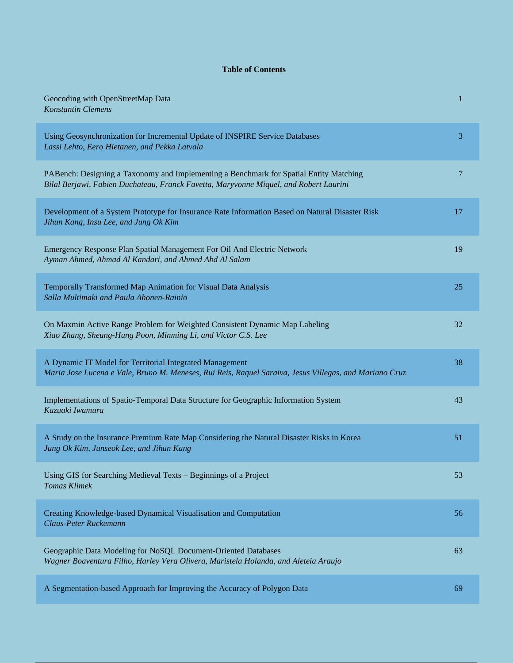## **Table of Contents**

| Geocoding with OpenStreetMap Data<br><b>Konstantin Clemens</b>                                                                                                                  | 1  |
|---------------------------------------------------------------------------------------------------------------------------------------------------------------------------------|----|
| Using Geosynchronization for Incremental Update of INSPIRE Service Databases<br>Lassi Lehto, Eero Hietanen, and Pekka Latvala                                                   | 3  |
| PABench: Designing a Taxonomy and Implementing a Benchmark for Spatial Entity Matching<br>Bilal Berjawi, Fabien Duchateau, Franck Favetta, Maryvonne Miquel, and Robert Laurini | 7  |
| Development of a System Prototype for Insurance Rate Information Based on Natural Disaster Risk<br>Jihun Kang, Insu Lee, and Jung Ok Kim                                        | 17 |
| Emergency Response Plan Spatial Management For Oil And Electric Network<br>Ayman Ahmed, Ahmad Al Kandari, and Ahmed Abd Al Salam                                                | 19 |
| Temporally Transformed Map Animation for Visual Data Analysis<br>Salla Multimaki and Paula Ahonen-Rainio                                                                        | 25 |
| On Maxmin Active Range Problem for Weighted Consistent Dynamic Map Labeling<br>Xiao Zhang, Sheung-Hung Poon, Minming Li, and Victor C.S. Lee                                    | 32 |
| A Dynamic IT Model for Territorial Integrated Management<br>Maria Jose Lucena e Vale, Bruno M. Meneses, Rui Reis, Raquel Saraiva, Jesus Villegas, and Mariano Cruz              | 38 |
| Implementations of Spatio-Temporal Data Structure for Geographic Information System<br>Kazuaki Iwamura                                                                          | 43 |
| A Study on the Insurance Premium Rate Map Considering the Natural Disaster Risks in Korea<br>Jung Ok Kim, Junseok Lee, and Jihun Kang                                           | 51 |
| Using GIS for Searching Medieval Texts - Beginnings of a Project<br><b>Tomas Klimek</b>                                                                                         | 53 |
| Creating Knowledge-based Dynamical Visualisation and Computation<br>Claus-Peter Ruckemann                                                                                       | 56 |
| Geographic Data Modeling for NoSQL Document-Oriented Databases<br>Wagner Boaventura Filho, Harley Vera Olivera, Maristela Holanda, and Aleteia Araujo                           | 63 |
| A Segmentation-based Approach for Improving the Accuracy of Polygon Data                                                                                                        | 69 |